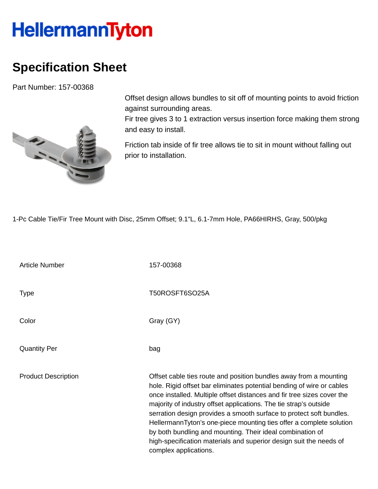## **HellermannTyton**

## **Specification Sheet**

Part Number: 157-00368



Offset design allows bundles to sit off of mounting points to avoid friction against surrounding areas.

Fir tree gives 3 to 1 extraction versus insertion force making them strong and easy to install.

Friction tab inside of fir tree allows tie to sit in mount without falling out prior to installation.

1-Pc Cable Tie/Fir Tree Mount with Disc, 25mm Offset; 9.1"L, 6.1-7mm Hole, PA66HIRHS, Gray, 500/pkg

Article Number 157-00368 Type Type T50ROSFT6SO25A Color Gray (GY) Quantity Per bag Product Description **Description** Offset cable ties route and position bundles away from a mounting hole. Rigid offset bar eliminates potential bending of wire or cables once installed. Multiple offset distances and fir tree sizes cover the majority of industry offset applications. The tie strap's outside serration design provides a smooth surface to protect soft bundles. HellermannTyton's one-piece mounting ties offer a complete solution by both bundling and mounting. Their ideal combination of high-specification materials and superior design suit the needs of complex applications.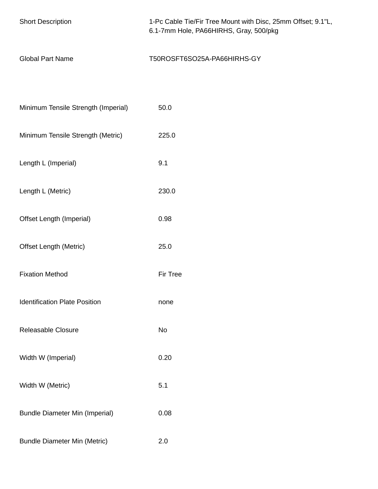| <b>Short Description</b>              | 1-Pc Cable Tie/Fir Tree Mount with Disc, 25mm Offset; 9.1"L,<br>6.1-7mm Hole, PA66HIRHS, Gray, 500/pkg |  |  |
|---------------------------------------|--------------------------------------------------------------------------------------------------------|--|--|
| <b>Global Part Name</b>               | T50ROSFT6SO25A-PA66HIRHS-GY                                                                            |  |  |
|                                       |                                                                                                        |  |  |
| Minimum Tensile Strength (Imperial)   | 50.0                                                                                                   |  |  |
| Minimum Tensile Strength (Metric)     | 225.0                                                                                                  |  |  |
| Length L (Imperial)                   | 9.1                                                                                                    |  |  |
| Length L (Metric)                     | 230.0                                                                                                  |  |  |
| Offset Length (Imperial)              | 0.98                                                                                                   |  |  |
| <b>Offset Length (Metric)</b>         | 25.0                                                                                                   |  |  |
| <b>Fixation Method</b>                | Fir Tree                                                                                               |  |  |
| <b>Identification Plate Position</b>  | none                                                                                                   |  |  |
| Releasable Closure                    | No                                                                                                     |  |  |
| Width W (Imperial)                    | 0.20                                                                                                   |  |  |
| Width W (Metric)                      | 5.1                                                                                                    |  |  |
| <b>Bundle Diameter Min (Imperial)</b> | 0.08                                                                                                   |  |  |
| <b>Bundle Diameter Min (Metric)</b>   | 2.0                                                                                                    |  |  |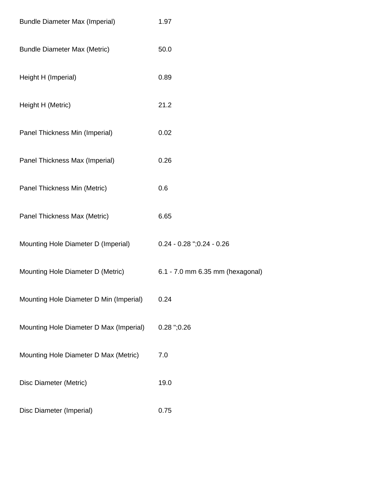| <b>Bundle Diameter Max (Imperial)</b>   | 1.97                             |
|-----------------------------------------|----------------------------------|
| <b>Bundle Diameter Max (Metric)</b>     | 50.0                             |
| Height H (Imperial)                     | 0.89                             |
| Height H (Metric)                       | 21.2                             |
| Panel Thickness Min (Imperial)          | 0.02                             |
| Panel Thickness Max (Imperial)          | 0.26                             |
| Panel Thickness Min (Metric)            | 0.6                              |
| Panel Thickness Max (Metric)            | 6.65                             |
| Mounting Hole Diameter D (Imperial)     | $0.24 - 0.28$ ";0.24 - 0.26      |
| Mounting Hole Diameter D (Metric)       | 6.1 - 7.0 mm 6.35 mm (hexagonal) |
| Mounting Hole Diameter D Min (Imperial) | 0.24                             |
| Mounting Hole Diameter D Max (Imperial) | $0.28$ ";0.26                    |
| Mounting Hole Diameter D Max (Metric)   | 7.0                              |
| Disc Diameter (Metric)                  | 19.0                             |
| Disc Diameter (Imperial)                | 0.75                             |